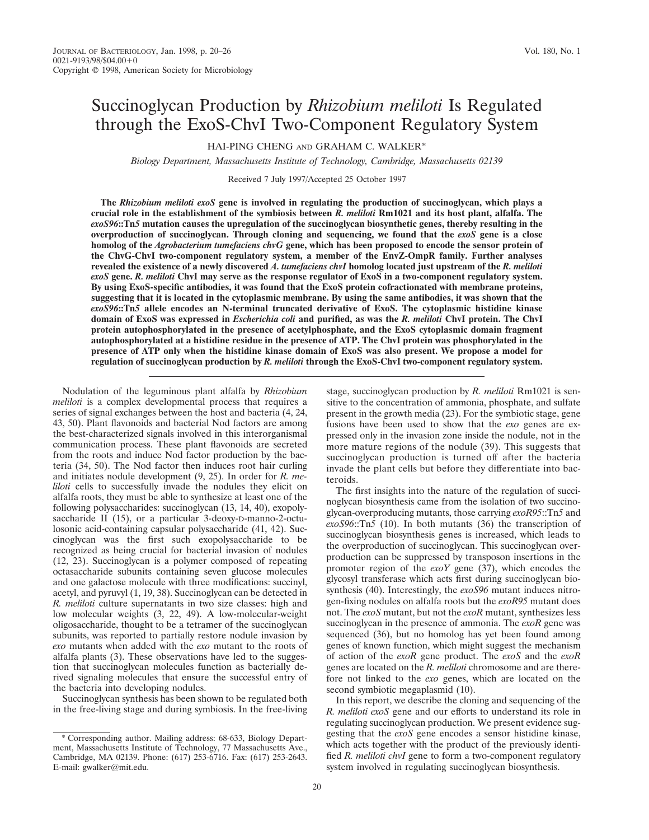# Succinoglycan Production by *Rhizobium meliloti* Is Regulated through the ExoS-ChvI Two-Component Regulatory System

HAI-PING CHENG AND GRAHAM C. WALKER\*

*Biology Department, Massachusetts Institute of Technology, Cambridge, Massachusetts 02139*

Received 7 July 1997/Accepted 25 October 1997

**The** *Rhizobium meliloti exoS* **gene is involved in regulating the production of succinoglycan, which plays a crucial role in the establishment of the symbiosis between** *R. meliloti* **Rm1021 and its host plant, alfalfa. The** *exoS96***::Tn***5* **mutation causes the upregulation of the succinoglycan biosynthetic genes, thereby resulting in the overproduction of succinoglycan. Through cloning and sequencing, we found that the** *exoS* **gene is a close homolog of the** *Agrobacterium tumefaciens chvG* **gene, which has been proposed to encode the sensor protein of the ChvG-ChvI two-component regulatory system, a member of the EnvZ-OmpR family. Further analyses revealed the existence of a newly discovered** *A. tumefaciens chvI* **homolog located just upstream of the** *R. meliloti exoS* **gene.** *R. meliloti* **ChvI may serve as the response regulator of ExoS in a two-component regulatory system. By using ExoS-specific antibodies, it was found that the ExoS protein cofractionated with membrane proteins, suggesting that it is located in the cytoplasmic membrane. By using the same antibodies, it was shown that the** *exoS96***::Tn***5* **allele encodes an N-terminal truncated derivative of ExoS. The cytoplasmic histidine kinase domain of ExoS was expressed in** *Escherichia coli* **and purified, as was the** *R. meliloti* **ChvI protein. The ChvI protein autophosphorylated in the presence of acetylphosphate, and the ExoS cytoplasmic domain fragment autophosphorylated at a histidine residue in the presence of ATP. The ChvI protein was phosphorylated in the presence of ATP only when the histidine kinase domain of ExoS was also present. We propose a model for regulation of succinoglycan production by** *R. meliloti* **through the ExoS-ChvI two-component regulatory system.**

Nodulation of the leguminous plant alfalfa by *Rhizobium meliloti* is a complex developmental process that requires a series of signal exchanges between the host and bacteria (4, 24, 43, 50). Plant flavonoids and bacterial Nod factors are among the best-characterized signals involved in this interorganismal communication process. These plant flavonoids are secreted from the roots and induce Nod factor production by the bacteria (34, 50). The Nod factor then induces root hair curling and initiates nodule development (9, 25). In order for *R. meliloti* cells to successfully invade the nodules they elicit on alfalfa roots, they must be able to synthesize at least one of the following polysaccharides: succinoglycan (13, 14, 40), exopolysaccharide II (15), or a particular 3-deoxy-D-manno-2-octulosonic acid-containing capsular polysaccharide (41, 42). Succinoglycan was the first such exopolysaccharide to be recognized as being crucial for bacterial invasion of nodules (12, 23). Succinoglycan is a polymer composed of repeating octasaccharide subunits containing seven glucose molecules and one galactose molecule with three modifications: succinyl, acetyl, and pyruvyl (1, 19, 38). Succinoglycan can be detected in *R. meliloti* culture supernatants in two size classes: high and low molecular weights (3, 22, 49). A low-molecular-weight oligosaccharide, thought to be a tetramer of the succinoglycan subunits, was reported to partially restore nodule invasion by *exo* mutants when added with the *exo* mutant to the roots of alfalfa plants (3). These observations have led to the suggestion that succinoglycan molecules function as bacterially derived signaling molecules that ensure the successful entry of the bacteria into developing nodules.

Succinoglycan synthesis has been shown to be regulated both in the free-living stage and during symbiosis. In the free-living

\* Corresponding author. Mailing address: 68-633, Biology Department, Massachusetts Institute of Technology, 77 Massachusetts Ave., Cambridge, MA 02139. Phone: (617) 253-6716. Fax: (617) 253-2643. E-mail: gwalker@mit.edu.

stage, succinoglycan production by *R. meliloti* Rm1021 is sensitive to the concentration of ammonia, phosphate, and sulfate present in the growth media (23). For the symbiotic stage, gene fusions have been used to show that the *exo* genes are expressed only in the invasion zone inside the nodule, not in the more mature regions of the nodule (39). This suggests that succinoglycan production is turned off after the bacteria invade the plant cells but before they differentiate into bacteroids.

The first insights into the nature of the regulation of succinoglycan biosynthesis came from the isolation of two succinoglycan-overproducing mutants, those carrying *exoR95*::Tn*5* and *exoS96*::Tn*5* (10). In both mutants (36) the transcription of succinoglycan biosynthesis genes is increased, which leads to the overproduction of succinoglycan. This succinoglycan overproduction can be suppressed by transposon insertions in the promoter region of the *exoY* gene (37), which encodes the glycosyl transferase which acts first during succinoglycan biosynthesis (40). Interestingly, the *exoS96* mutant induces nitrogen-fixing nodules on alfalfa roots but the *exoR95* mutant does not. The *exoS* mutant, but not the *exoR* mutant, synthesizes less succinoglycan in the presence of ammonia. The *exoR* gene was sequenced (36), but no homolog has yet been found among genes of known function, which might suggest the mechanism of action of the *exoR* gene product. The *exoS* and the *exoR* genes are located on the *R. meliloti* chromosome and are therefore not linked to the *exo* genes, which are located on the second symbiotic megaplasmid (10).

In this report, we describe the cloning and sequencing of the *R. meliloti exoS* gene and our efforts to understand its role in regulating succinoglycan production. We present evidence suggesting that the *exoS* gene encodes a sensor histidine kinase, which acts together with the product of the previously identified *R. meliloti chvI* gene to form a two-component regulatory system involved in regulating succinoglycan biosynthesis.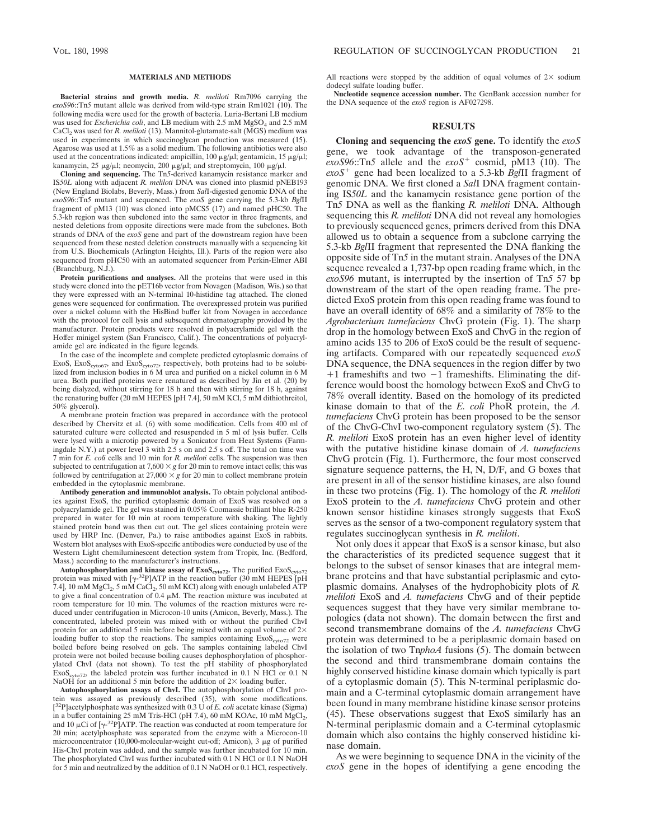#### **MATERIALS AND METHODS**

**Bacterial strains and growth media.** *R. meliloti* Rm7096 carrying the *exoS96*::Tn*5* mutant allele was derived from wild-type strain Rm1021 (10). The following media were used for the growth of bacteria. Luria-Bertani LB medium was used for *Escherichia coli*, and LB medium with 2.5 mM MgSO<sub>4</sub> and 2.5 mM CaCl<sub>2</sub> was used for *R. meliloti* (13). Mannitol-glutamate-salt (MGS) medium was used in experiments in which succinoglycan production was measured (15). Agarose was used at 1.5% as a solid medium. The following antibiotics were also used at the concentrations indicated: ampicillin, 100  $\mu$ g/ $\mu$ l; gentamicin, 15  $\mu$ g/ $\mu$ l; kanamycin, 25  $\mu$ g/ $\mu$ l; neomycin, 200  $\mu$ g/ $\mu$ l; and streptomycin, 100  $\mu$ g/ $\mu$ l.

**Cloning and sequencing.** The Tn*5*-derived kanamycin resistance marker and IS*50L* along with adjacent *R. meliloti* DNA was cloned into plasmid pNEB193 (New England Biolabs, Beverly, Mass.) from *Sal*I-digested genomic DNA of the *exoS96*::Tn*5* mutant and sequenced. The *exoS* gene carrying the 5.3-kb *Bgl*II fragment of pM13 (10) was cloned into pMCS5 (17) and named pHC50. The 5.3-kb region was then subcloned into the same vector in three fragments, and nested deletions from opposite directions were made from the subclones. Both strands of DNA of the *exoS* gene and part of the downstream region have been sequenced from these nested deletion constructs manually with a sequencing kit from U.S. Biochemicals (Arlington Heights, Ill.). Parts of the region were also sequenced from pHC50 with an automated sequencer from Perkin-Elmer ABI (Branchburg, N.J.).

**Protein purifications and analyses.** All the proteins that were used in this study were cloned into the pET16b vector from Novagen (Madison, Wis.) so that they were expressed with an N-terminal 10-histidine tag attached. The cloned genes were sequenced for confirmation. The overexpressed protein was purified over a nickel column with the HisBind buffer kit from Novagen in accordance with the protocol for cell lysis and subsequent chromatography provided by the manufacturer. Protein products were resolved in polyacrylamide gel with the Hoffer minigel system (San Francisco, Calif.). The concentrations of polyacrylamide gel are indicated in the figure legends.

In the case of the incomplete and complete predicted cytoplasmic domains of ExoS, ExoS<sub>cyto67</sub>, and ExoS<sub>cyto72</sub>, respectively, both proteins had to be solubilized from inclusion bodies in 6 M urea and purified on a nickel column in 6 M urea. Both purified proteins were renatured as described by Jin et al. (20) by being dialyzed, without stirring for 18 h and then with stirring for 18 h, against the renaturing buffer (20 mM HEPES [pH 7.4], 50 mM KCl, 5 mM dithiothreitol, 50% glycerol).

A membrane protein fraction was prepared in accordance with the protocol described by Chervitz et al. (6) with some modification. Cells from 400 ml of saturated culture were collected and resuspended in 5 ml of lysis buffer. Cells were lysed with a microtip powered by a Sonicator from Heat Systems (Farmingdale N.Y.) at power level 3 with 2.5 s on and 2.5 s off. The total on time was 7 min for *E. coli* cells and 10 min for *R. meliloti* cells. The suspension was then subjected to centrifugation at  $7,600 \times g$  for 20 min to remove intact cells; this was followed by centrifugation at  $27,000 \times g$  for 20 min to collect membrane protein embedded in the cytoplasmic membrane.

**Antibody generation and immunoblot analysis.** To obtain polyclonal antibodies against ExoS, the purified cytoplasmic domain of ExoS was resolved on a polyacrylamide gel. The gel was stained in 0.05% Coomassie brilliant blue R-250 prepared in water for 10 min at room temperature with shaking. The lightly stained protein band was then cut out. The gel slices containing protein were used by HRP Inc. (Denver, Pa.) to raise antibodies against ExoS in rabbits. Western blot analyses with ExoS-specific antibodies were conducted by use of the Western Light chemiluminescent detection system from Tropix, Inc. (Bedford, Mass.) according to the manufacturer's instructions.

Autophosphorylation and kinase assay of  $ExoS<sub>cyto72</sub>$ . The purified  $ExoS<sub>z</sub>$ protein was mixed with  $[\gamma^{32}P]$ ATP in the reaction buffer (30 mM HEPES [pH 7.4], 10 mM MgCl<sub>2</sub>, 5 mM CaCl<sub>2</sub>, 50 mM KCl) along with enough unlabeled ATP to give a final concentration of 0.4  $\mu$ M. The reaction mixture was incubated at room temperature for 10 min. The volumes of the reaction mixtures were reduced under centrifugation in Microcon-10 units (Amicon, Beverly, Mass.). The concentrated, labeled protein was mixed with or without the purified ChvI protein for an additional 5 min before being mixed with an equal volume of  $2\times$ loading buffer to stop the reactions. The samples containing  $Exos<sub>cyto72</sub>$  were boiled before being resolved on gels. The samples containing labeled ChvI protein were not boiled because boiling causes dephosphorylation of phosphorylated ChvI (data not shown). To test the pH stability of phosphorylated  $Exos<sub>cyto72</sub>$ , the labeled protein was further incubated in 0.1 N HCl or 0.1 N NaOH for an additional 5 min before the addition of  $2\times$  loading buffer.

**Autophosphorylation assays of ChvI.** The autophosphorylation of ChvI protein was assayed as previously described (35), with some modifications. [<sup>32</sup>P]acetylphosphate was synthesized with 0.3 U of *E. coli* acetate kinase (Sigma) in a buffer containing 25 mM Tris-HCl (pH 7.4), 60 mM KOAc, 10 mM  $MgCl<sub>2</sub>$ , and 10  $\mu$ Ci of [ $\gamma$ -<sup>32</sup>P]ATP. The reaction was conducted at room temperature for 20 min; acetylphosphate was separated from the enzyme with a Microcon-10 microconcentrator (10,000-molecular-weight cut-off; Amicon), 3 µg of purified His-ChvI protein was added, and the sample was further incubated for 10 min. The phosphorylated ChvI was further incubated with 0.1 N HCl or 0.1 N NaOH for 5 min and neutralized by the addition of 0.1 N NaOH or 0.1 HCl, respectively. All reactions were stopped by the addition of equal volumes of  $2\times$  sodium dodecyl sulfate loading buffer.

**Nucleotide sequence accession number.** The GenBank accession number for the DNA sequence of the *exoS* region is AF027298.

## **RESULTS**

**Cloning and sequencing the** *exoS* **gene.** To identify the *exoS* gene, we took advantage of the transposon-generated *exoS96*::Tn*5* allele and the *exoS*<sup>1</sup> cosmid, pM13 (10). The *exoS*<sup>1</sup> gene had been localized to a 5.3-kb *Bgl*II fragment of genomic DNA. We first cloned a *Sal*I DNA fragment containing IS*50L* and the kanamycin resistance gene portion of the Tn*5* DNA as well as the flanking *R. meliloti* DNA. Although sequencing this *R. meliloti* DNA did not reveal any homologies to previously sequenced genes, primers derived from this DNA allowed us to obtain a sequence from a subclone carrying the 5.3-kb *Bgl*II fragment that represented the DNA flanking the opposite side of Tn*5* in the mutant strain. Analyses of the DNA sequence revealed a 1,737-bp open reading frame which, in the *exoS96* mutant, is interrupted by the insertion of Tn*5* 57 bp downstream of the start of the open reading frame. The predicted ExoS protein from this open reading frame was found to have an overall identity of  $68\%$  and a similarity of 78% to the *Agrobacterium tumefaciens* ChvG protein (Fig. 1). The sharp drop in the homology between ExoS and ChvG in the region of amino acids 135 to 206 of ExoS could be the result of sequencing artifacts. Compared with our repeatedly sequenced *exoS* DNA sequence, the DNA sequences in the region differ by two  $+1$  frameshifts and two  $-1$  frameshifts. Eliminating the difference would boost the homology between ExoS and ChvG to 78% overall identity. Based on the homology of its predicted kinase domain to that of the *E. coli* PhoR protein, the *A. tumefaciens* ChvG protein has been proposed to be the sensor of the ChvG-ChvI two-component regulatory system (5). The *R. meliloti* ExoS protein has an even higher level of identity with the putative histidine kinase domain of *A. tumefaciens* ChvG protein (Fig. 1). Furthermore, the four most conserved signature sequence patterns, the H, N, D/F, and G boxes that are present in all of the sensor histidine kinases, are also found in these two proteins (Fig. 1). The homology of the *R. meliloti* ExoS protein to the *A. tumefaciens* ChvG protein and other known sensor histidine kinases strongly suggests that ExoS serves as the sensor of a two-component regulatory system that regulates succinoglycan synthesis in *R. meliloti*.

Not only does it appear that ExoS is a sensor kinase, but also the characteristics of its predicted sequence suggest that it belongs to the subset of sensor kinases that are integral membrane proteins and that have substantial periplasmic and cytoplasmic domains. Analyses of the hydrophobicity plots of *R. meliloti* ExoS and *A. tumefaciens* ChvG and of their peptide sequences suggest that they have very similar membrane topologies (data not shown). The domain between the first and second transmembrane domains of the *A. tumefaciens* ChvG protein was determined to be a periplasmic domain based on the isolation of two Tn*phoA* fusions (5). The domain between the second and third transmembrane domain contains the highly conserved histidine kinase domain which typically is part of a cytoplasmic domain (5). This N-terminal periplasmic domain and a C-terminal cytoplasmic domain arrangement have been found in many membrane histidine kinase sensor proteins (45). These observations suggest that ExoS similarly has an N-terminal periplasmic domain and a C-terminal cytoplasmic domain which also contains the highly conserved histidine kinase domain.

As we were beginning to sequence DNA in the vicinity of the *exoS* gene in the hopes of identifying a gene encoding the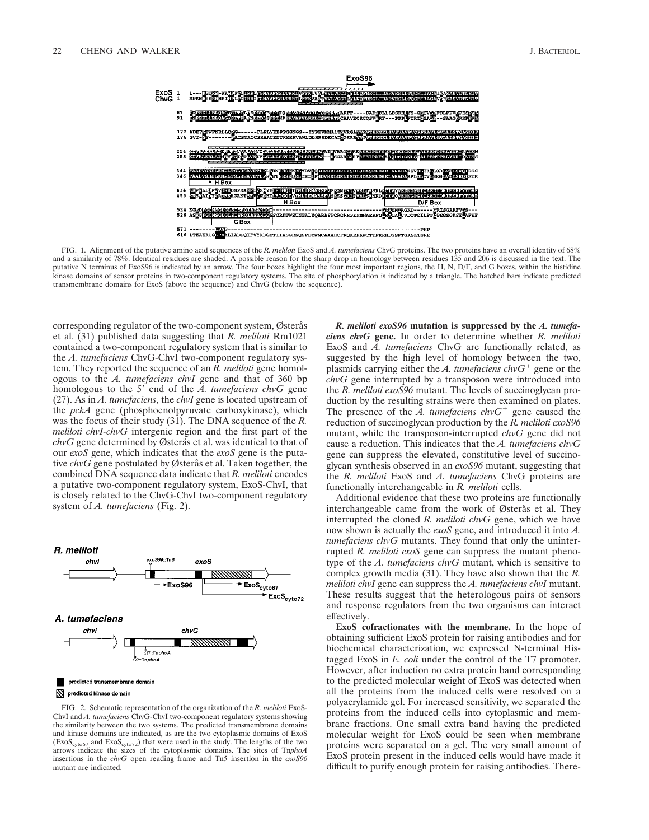

FIG. 1. Alignment of the putative amino acid sequences of the *R. meliloti* ExoS and *A. tumefaciens* ChvG proteins. The two proteins have an overall identity of 68% and a similarity of 78%. Identical residues are shaded. A possible reason for the sharp drop in homology between residues 135 and 206 is discussed in the text. The putative N terminus of ExoS96 is indicated by an arrow. The four boxes highlight the four most important regions, the H, N, D/F, and G boxes, within the histidine kinase domains of sensor proteins in two-component regulatory systems. The site of phosphorylation is indicated by a triangle. The hatched bars indicate predicted transmembrane domains for ExoS (above the sequence) and ChvG (below the sequence).

corresponding regulator of the two-component system, Østerås et al. (31) published data suggesting that *R. meliloti* Rm1021 contained a two-component regulatory system that is similar to the *A. tumefaciens* ChvG-ChvI two-component regulatory system. They reported the sequence of an *R. meliloti* gene homologous to the *A. tumefaciens chvI* gene and that of 360 bp homologous to the 5' end of the *A. tumefaciens chvG* gene (27). As in *A. tumefaciens*, the *chvI* gene is located upstream of the *pckA* gene (phosphoenolpyruvate carboxykinase), which was the focus of their study (31). The DNA sequence of the *R. meliloti chvI-chvG* intergenic region and the first part of the *chvG* gene determined by Østerås et al. was identical to that of our *exoS* gene, which indicates that the *exoS* gene is the putative *chvG* gene postulated by Østerås et al. Taken together, the combined DNA sequence data indicate that *R. meliloti* encodes a putative two-component regulatory system, ExoS-ChvI, that is closely related to the ChvG-ChvI two-component regulatory system of *A. tumefaciens* (Fig. 2).



FIG. 2. Schematic representation of the organization of the *R. meliloti* ExoS-ChvI and *A. tumefaciens* ChvG-ChvI two-component regulatory systems showing the similarity between the two systems. The predicted transmembrane domains and kinase domains are indicated, as are the two cytoplasmic domains of ExoS  $(Exos<sub>evto67</sub>$  and  $Exos<sub>evto72</sub>$ ) that were used in the study. The lengths of the two arrows indicate the sizes of the cytoplasmic domains. The sites of Tn*phoA* insertions in the *chvG* open reading frame and Tn*5* insertion in the *exoS96* mutant are indicated.

*R. meliloti exoS96* **mutation is suppressed by the** *A. tumefaciens chvG* **gene.** In order to determine whether *R. meliloti* ExoS and *A. tumefaciens* ChvG are functionally related, as suggested by the high level of homology between the two, plasmids carrying either the A. tumefaciens  $\mathit{chvG}^+$  gene or the *chvG* gene interrupted by a transposon were introduced into the *R. meliloti exoS96* mutant. The levels of succinoglycan production by the resulting strains were then examined on plates. The presence of the  $A$ . tumefaciens chv $G^+$  gene caused the reduction of succinoglycan production by the *R. meliloti exoS96* mutant, while the transposon-interrupted *chvG* gene did not cause a reduction. This indicates that the *A. tumefaciens chvG* gene can suppress the elevated, constitutive level of succinoglycan synthesis observed in an *exoS96* mutant, suggesting that the *R. meliloti* ExoS and *A. tumefaciens* ChvG proteins are functionally interchangeable in *R. meliloti* cells.

Additional evidence that these two proteins are functionally interchangeable came from the work of Østerås et al. They interrupted the cloned *R. meliloti chvG* gene, which we have now shown is actually the *exoS* gene, and introduced it into *A. tumefaciens chvG* mutants. They found that only the uninterrupted *R. meliloti exoS* gene can suppress the mutant phenotype of the *A. tumefaciens chvG* mutant, which is sensitive to complex growth media (31). They have also shown that the *R. meliloti chvI* gene can suppress the *A. tumefaciens chvI* mutant. These results suggest that the heterologous pairs of sensors and response regulators from the two organisms can interact effectively.

**ExoS cofractionates with the membrane.** In the hope of obtaining sufficient ExoS protein for raising antibodies and for biochemical characterization, we expressed N-terminal Histagged ExoS in *E. coli* under the control of the T7 promoter. However, after induction no extra protein band corresponding to the predicted molecular weight of ExoS was detected when all the proteins from the induced cells were resolved on a polyacrylamide gel. For increased sensitivity, we separated the proteins from the induced cells into cytoplasmic and membrane fractions. One small extra band having the predicted molecular weight for ExoS could be seen when membrane proteins were separated on a gel. The very small amount of ExoS protein present in the induced cells would have made it difficult to purify enough protein for raising antibodies. There-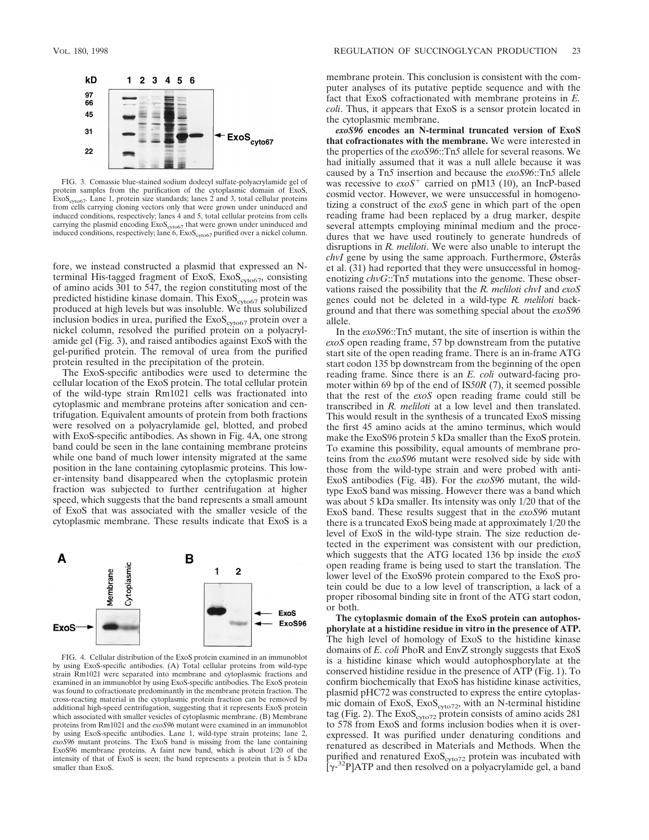

FIG. 3. Comassie blue-stained sodium dodecyl sulfate-polyacrylamide gel of protein samples from the purification of the cytoplasmic domain of ExoS,<br>ExoS<sub>cyto67</sub>. Lane 1, protein size standards; lanes 2 and 3, total cellular proteins from cells carrying cloning vectors only that were grown under uninduced and induced conditions, respectively; lanes 4 and 5, total cellular proteins from cells carrying the plasmid encoding ExoS<sub>cyto67</sub> that were grown under uninduced and induced conditions, respectively; lane 6, ExoS<sub>cyto67</sub> purified over a nickel column.

fore, we instead constructed a plasmid that expressed an Nterminal His-tagged fragment of ExoS, ExoS<sub>cyto67</sub>, consisting of amino acids 301 to 547, the region constituting most of the predicted histidine kinase domain. This ExoS<sub>cyto67</sub> protein was produced at high levels but was insoluble. We thus solubilized inclusion bodies in urea, purified the  $Exos<sub>cyto67</sub>$  protein over a nickel column, resolved the purified protein on a polyacrylamide gel (Fig. 3), and raised antibodies against ExoS with the gel-purified protein. The removal of urea from the purified protein resulted in the precipitation of the protein.

The ExoS-specific antibodies were used to determine the cellular location of the ExoS protein. The total cellular protein of the wild-type strain Rm1021 cells was fractionated into cytoplasmic and membrane proteins after sonication and centrifugation. Equivalent amounts of protein from both fractions were resolved on a polyacrylamide gel, blotted, and probed with ExoS-specific antibodies. As shown in Fig. 4A, one strong band could be seen in the lane containing membrane proteins while one band of much lower intensity migrated at the same position in the lane containing cytoplasmic proteins. This lower-intensity band disappeared when the cytoplasmic protein fraction was subjected to further centrifugation at higher speed, which suggests that the band represents a small amount of ExoS that was associated with the smaller vesicle of the cytoplasmic membrane. These results indicate that ExoS is a



FIG. 4. Cellular distribution of the ExoS protein examined in an immunoblot by using ExoS-specific antibodies. (A) Total cellular proteins from wild-type strain Rm1021 were separated into membrane and cytoplasmic fractions and examined in an immunoblot by using ExoS-specific antibodies. The ExoS protein was found to cofractionate predominantly in the membrane protein fraction. The cross-reacting material in the cytoplasmic protein fraction can be removed by additional high-speed centrifugation, suggesting that it represents ExoS protein which associated with smaller vesicles of cytoplasmic membrane. (B) Membrane proteins from Rm1021 and the *exoS96* mutant were examined in an immunoblot by using ExoS-specific antibodies. Lane 1, wild-type strain proteins; lane 2, *exoS96* mutant proteins. The ExoS band is missing from the lane containing ExoS96 membrane proteins. A faint new band, which is about 1/20 of the intensity of that of ExoS is seen; the band represents a protein that is 5 kDa smaller than ExoS.

membrane protein. This conclusion is consistent with the computer analyses of its putative peptide sequence and with the fact that ExoS cofractionated with membrane proteins in *E. coli*. Thus, it appears that ExoS is a sensor protein located in the cytoplasmic membrane.

*exoS96* **encodes an N-terminal truncated version of ExoS that cofractionates with the membrane.** We were interested in the properties of the *exoS96*::Tn*5* allele for several reasons. We had initially assumed that it was a null allele because it was caused by a Tn*5* insertion and because the *exoS96*::Tn*5* allele was recessive to  $e\alpha S^+$  carried on pM13 (10), an IncP-based cosmid vector. However, we were unsuccessful in homogenotizing a construct of the *exoS* gene in which part of the open reading frame had been replaced by a drug marker, despite several attempts employing minimal medium and the procedures that we have used routinely to generate hundreds of disruptions in *R. meliloti*. We were also unable to interupt the *chvI* gene by using the same approach. Furthermore, Østerås et al. (31) had reported that they were unsuccessful in homogenotizing *chvG*::Tn*5* mutations into the genome. These observations raised the possibility that the *R. meliloti chvI* and *exoS* genes could not be deleted in a wild-type *R. meliloti* background and that there was something special about the *exoS96* allele.

In the *exoS96*::Tn*5* mutant, the site of insertion is within the *exoS* open reading frame, 57 bp downstream from the putative start site of the open reading frame. There is an in-frame ATG start codon 135 bp downstream from the beginning of the open reading frame. Since there is an *E. coli* outward-facing promoter within 69 bp of the end of IS*50R* (7), it seemed possible that the rest of the *exoS* open reading frame could still be transcribed in *R. meliloti* at a low level and then translated. This would result in the synthesis of a truncated ExoS missing the first 45 amino acids at the amino terminus, which would make the ExoS96 protein 5 kDa smaller than the ExoS protein. To examine this possibility, equal amounts of membrane proteins from the *exoS96* mutant were resolved side by side with those from the wild-type strain and were probed with anti-ExoS antibodies (Fig. 4B). For the *exoS96* mutant, the wildtype ExoS band was missing. However there was a band which was about 5 kDa smaller. Its intensity was only 1/20 that of the ExoS band. These results suggest that in the *exoS96* mutant there is a truncated ExoS being made at approximately 1/20 the level of ExoS in the wild-type strain. The size reduction detected in the experiment was consistent with our prediction, which suggests that the ATG located 136 bp inside the *exoS* open reading frame is being used to start the translation. The lower level of the ExoS96 protein compared to the ExoS protein could be due to a low level of transcription, a lack of a proper ribosomal binding site in front of the ATG start codon, or both.

**The cytoplasmic domain of the ExoS protein can autophosphorylate at a histidine residue in vitro in the presence of ATP.** The high level of homology of ExoS to the histidine kinase domains of *E. coli* PhoR and EnvZ strongly suggests that ExoS is a histidine kinase which would autophosphorylate at the conserved histidine residue in the presence of ATP (Fig. 1). To confirm biochemically that ExoS has histidine kinase activities, plasmid pHC72 was constructed to express the entire cytoplasmic domain of ExoS,  $Exos<sub>cyto72</sub>$ , with an N-terminal histidine tag (Fig. 2). The  $Exos<sub>cyto72</sub>$  protein consists of amino acids 281 to 578 from ExoS and forms inclusion bodies when it is overexpressed. It was purified under denaturing conditions and renatured as described in Materials and Methods. When the purified and renatured  $Exos<sub>cyto72</sub>$  protein was incubated with  $[\gamma^{32}P]$ ATP and then resolved on a polyacrylamide gel, a band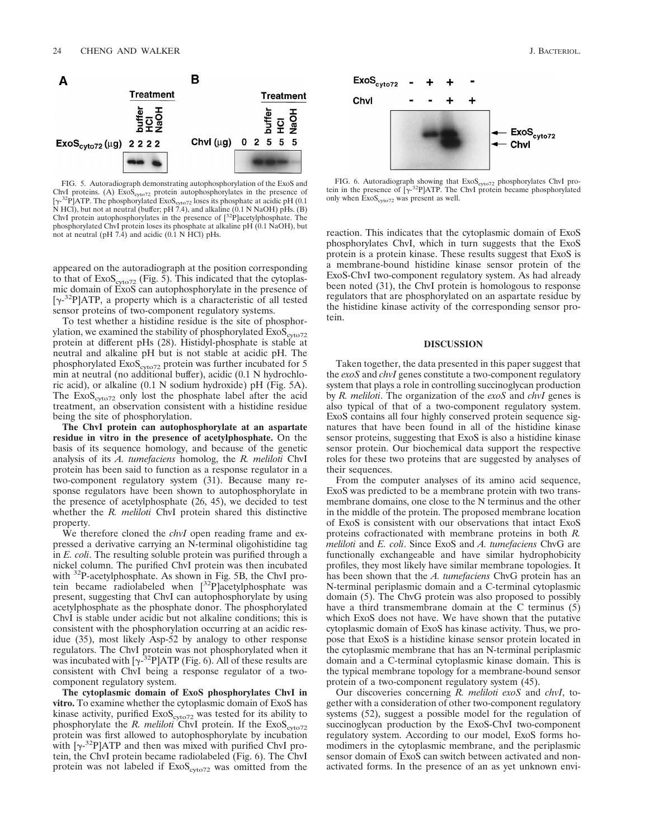

FIG. 5. Autoradiograph demonstrating autophosphorylation of the ExoS and ChvI proteins. (A)  $Exos<sub>cyto72</sub>$  protein autophosphorylates in the presence of  $[\gamma^{.32}P]$ ATP. The phosphorylated ExoS<sub>cyto72</sub> loses its phosphate at acidic pH (0.1 N HCl), but not at neutral (buffer; pH 7.4), and alkaline (0.1 N NaOH) pHs. (B) ChyI protein autophosphorylates in the presence of  $[^{3$ phosphorylated ChvI protein loses its phosphate at alkaline pH (0.1 NaOH), but not at neutral (pH  $7.\overline{4}$ ) and acidic (0.1 N HCl) pHs.

appeared on the autoradiograph at the position corresponding to that of  $Exos_{\text{cycot2}}$  (Fig. 5). This indicated that the cytoplasmic domain of ExoS can autophosphorylate in the presence of [ $\gamma$ -<sup>32</sup>P]ATP, a property which is a characteristic of all tested sensor proteins of two-component regulatory systems.

To test whether a histidine residue is the site of phosphorylation, we examined the stability of phosphorylated  $Exos_{cyto72}$ protein at different pHs (28). Histidyl-phosphate is stable at neutral and alkaline pH but is not stable at acidic pH. The phosphorylated  $ExoS<sub>cyto72</sub>$  protein was further incubated for 5 min at neutral (no additional buffer), acidic (0.1 N hydrochloric acid), or alkaline (0.1 N sodium hydroxide) pH (Fig. 5A). The  $Exos<sub>cyto72</sub>$  only lost the phosphate label after the acid treatment, an observation consistent with a histidine residue being the site of phosphorylation.

**The ChvI protein can autophosphorylate at an aspartate residue in vitro in the presence of acetylphosphate.** On the basis of its sequence homology, and because of the genetic analysis of its *A. tumefaciens* homolog, the *R. meliloti* ChvI protein has been said to function as a response regulator in a two-component regulatory system (31). Because many response regulators have been shown to autophosphorylate in the presence of acetylphosphate (26, 45), we decided to test whether the *R. meliloti* ChvI protein shared this distinctive property.

We therefore cloned the *chvI* open reading frame and expressed a derivative carrying an N-terminal oligohistidine tag in *E. coli*. The resulting soluble protein was purified through a nickel column. The purified ChvI protein was then incubated with 32P-acetylphosphate. As shown in Fig. 5B, the ChvI protein became radiolabeled when [32P]acetylphosphate was present, suggesting that ChvI can autophosphorylate by using acetylphosphate as the phosphate donor. The phosphorylated ChvI is stable under acidic but not alkaline conditions; this is consistent with the phosphorylation occurring at an acidic residue (35), most likely Asp-52 by analogy to other response regulators. The ChvI protein was not phosphorylated when it was incubated with  $[\gamma^{32}P]ATP$  (Fig. 6). All of these results are consistent with ChvI being a response regulator of a twocomponent regulatory system.

**The cytoplasmic domain of ExoS phosphorylates ChvI in vitro.** To examine whether the cytoplasmic domain of ExoS has kinase activity, purified  $Exos<sub>cyto72</sub>$  was tested for its ability to phosphorylate the *R. meliloti* ChvI protein. If the  $Exos<sub>ext072</sub>$ protein was first allowed to autophosphorylate by incubation with  $[\gamma^{-32}P]ATP$  and then was mixed with purified ChvI protein, the ChvI protein became radiolabeled (Fig. 6). The ChvI protein was not labeled if  $Exos<sub>cyto72</sub>$  was omitted from the



FIG. 6. Autoradiograph showing that  $Exos<sub>cyto72</sub>$  phosphorylates ChvI protein in the presence of  $[\gamma^{32}P]ATP$ . The ChvI protein became phosphorylated only when  $\text{ExoS}_{\text{cyto72}}$  was present as well.

reaction. This indicates that the cytoplasmic domain of ExoS phosphorylates ChvI, which in turn suggests that the ExoS protein is a protein kinase. These results suggest that ExoS is a membrane-bound histidine kinase sensor protein of the ExoS-ChvI two-component regulatory system. As had already been noted (31), the ChvI protein is homologous to response regulators that are phosphorylated on an aspartate residue by the histidine kinase activity of the corresponding sensor protein.

## **DISCUSSION**

Taken together, the data presented in this paper suggest that the *exoS* and *chvI* genes constitute a two-component regulatory system that plays a role in controlling succinoglycan production by *R. meliloti*. The organization of the *exoS* and *chvI* genes is also typical of that of a two-component regulatory system. ExoS contains all four highly conserved protein sequence signatures that have been found in all of the histidine kinase sensor proteins, suggesting that ExoS is also a histidine kinase sensor protein. Our biochemical data support the respective roles for these two proteins that are suggested by analyses of their sequences.

From the computer analyses of its amino acid sequence, ExoS was predicted to be a membrane protein with two transmembrane domains, one close to the N terminus and the other in the middle of the protein. The proposed membrane location of ExoS is consistent with our observations that intact ExoS proteins cofractionated with membrane proteins in both *R. meliloti* and *E. coli*. Since ExoS and *A. tumefaciens* ChvG are functionally exchangeable and have similar hydrophobicity profiles, they most likely have similar membrane topologies. It has been shown that the *A. tumefaciens* ChvG protein has an N-terminal periplasmic domain and a C-terminal cytoplasmic domain (5). The ChvG protein was also proposed to possibly have a third transmembrane domain at the C terminus (5) which ExoS does not have. We have shown that the putative cytoplasmic domain of ExoS has kinase activity. Thus, we propose that ExoS is a histidine kinase sensor protein located in the cytoplasmic membrane that has an N-terminal periplasmic domain and a C-terminal cytoplasmic kinase domain. This is the typical membrane topology for a membrane-bound sensor protein of a two-component regulatory system (45).

Our discoveries concerning *R. meliloti exoS* and *chvI*, together with a consideration of other two-component regulatory systems (52), suggest a possible model for the regulation of succinoglycan production by the ExoS-ChvI two-component regulatory system. According to our model, ExoS forms homodimers in the cytoplasmic membrane, and the periplasmic sensor domain of ExoS can switch between activated and nonactivated forms. In the presence of an as yet unknown envi-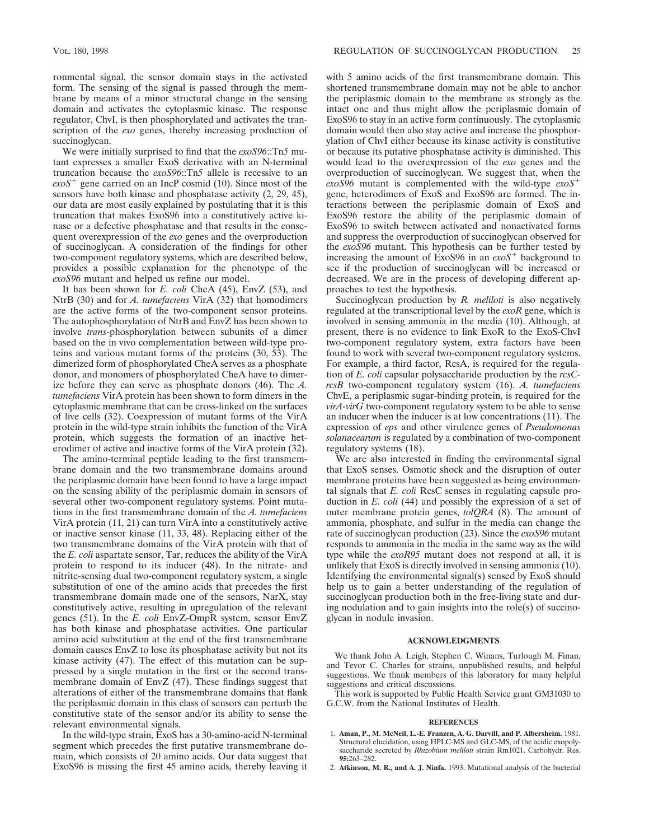ronmental signal, the sensor domain stays in the activated form. The sensing of the signal is passed through the membrane by means of a minor structural change in the sensing domain and activates the cytoplasmic kinase. The response regulator, ChvI, is then phosphorylated and activates the transcription of the *exo* genes, thereby increasing production of succinoglycan.

We were initially surprised to find that the *exoS96*::Tn*5* mutant expresses a smaller ExoS derivative with an N-terminal truncation because the *exoS96*::Tn*5* allele is recessive to an  $\epsilon x \circ S^+$  gene carried on an IncP cosmid (10). Since most of the sensors have both kinase and phosphatase activity (2, 29, 45), our data are most easily explained by postulating that it is this truncation that makes ExoS96 into a constitutively active kinase or a defective phosphatase and that results in the consequent overexpression of the *exo* genes and the overproduction of succinoglycan. A consideration of the findings for other two-component regulatory systems, which are described below, provides a possible explanation for the phenotype of the *exoS96* mutant and helped us refine our model.

It has been shown for *E. coli* CheA (45), EnvZ (53), and NtrB (30) and for *A. tumefaciens* VirA (32) that homodimers are the active forms of the two-component sensor proteins. The autophosphorylation of NtrB and EnvZ has been shown to involve *trans*-phosphorylation between subunits of a dimer based on the in vivo complementation between wild-type proteins and various mutant forms of the proteins (30, 53). The dimerized form of phosphorylated CheA serves as a phosphate donor, and monomers of phosphorylated CheA have to dimerize before they can serve as phosphate donors (46). The *A. tumefaciens* VirA protein has been shown to form dimers in the cytoplasmic membrane that can be cross-linked on the surfaces of live cells (32). Coexpression of mutant forms of the VirA protein in the wild-type strain inhibits the function of the VirA protein, which suggests the formation of an inactive heterodimer of active and inactive forms of the VirA protein (32).

The amino-terminal peptide leading to the first transmembrane domain and the two transmembrane domains around the periplasmic domain have been found to have a large impact on the sensing ability of the periplasmic domain in sensors of several other two-component regulatory systems. Point mutations in the first transmembrane domain of the *A. tumefaciens* VirA protein (11, 21) can turn VirA into a constitutively active or inactive sensor kinase (11, 33, 48). Replacing either of the two transmembrane domains of the VirA protein with that of the *E. coli* aspartate sensor, Tar, reduces the ability of the VirA protein to respond to its inducer (48). In the nitrate- and nitrite-sensing dual two-component regulatory system, a single substitution of one of the amino acids that precedes the first transmembrane domain made one of the sensors, NarX, stay constitutively active, resulting in upregulation of the relevant genes (51). In the *E. coli* EnvZ-OmpR system, sensor EnvZ has both kinase and phosphatase activities. One particular amino acid substitution at the end of the first transmembrane domain causes EnvZ to lose its phosphatase activity but not its kinase activity (47). The effect of this mutation can be suppressed by a single mutation in the first or the second transmembrane domain of EnvZ (47). These findings suggest that alterations of either of the transmembrane domains that flank the periplasmic domain in this class of sensors can perturb the constitutive state of the sensor and/or its ability to sense the relevant environmental signals.

In the wild-type strain, ExoS has a 30-amino-acid N-terminal segment which precedes the first putative transmembrane domain, which consists of 20 amino acids. Our data suggest that ExoS96 is missing the first 45 amino acids, thereby leaving it

with 5 amino acids of the first transmembrane domain. This shortened transmembrane domain may not be able to anchor the periplasmic domain to the membrane as strongly as the intact one and thus might allow the periplasmic domain of ExoS96 to stay in an active form continuously. The cytoplasmic domain would then also stay active and increase the phosphorylation of ChvI either because its kinase activity is constitutive or because its putative phosphatase activity is diminished. This would lead to the overexpression of the *exo* genes and the overproduction of succinoglycan. We suggest that, when the  $exoS96$  mutant is complemented with the wild-type  $exoS^+$ gene, heterodimers of ExoS and ExoS96 are formed. The interactions between the periplasmic domain of ExoS and ExoS96 restore the ability of the periplasmic domain of ExoS96 to switch between activated and nonactivated forms and suppress the overproduction of succinoglycan observed for the *exoS96* mutant. This hypothesis can be further tested by increasing the amount of  $ExoS96$  in an  $exoS<sup>+</sup>$  background to see if the production of succinoglycan will be increased or decreased. We are in the process of developing different approaches to test the hypothesis.

Succinoglycan production by *R. meliloti* is also negatively regulated at the transcriptional level by the *exoR* gene, which is involved in sensing ammonia in the media (10). Although, at present, there is no evidence to link ExoR to the ExoS-ChvI two-component regulatory system, extra factors have been found to work with several two-component regulatory systems. For example, a third factor, RcsA, is required for the regulation of *E. coli* capsular polysaccharide production by the *rcsCrcsB* two-component regulatory system (16). *A. tumefaciens* ChvE, a periplasmic sugar-binding protein, is required for the *virA-virG* two-component regulatory system to be able to sense an inducer when the inducer is at low concentrations (11). The expression of *eps* and other virulence genes of *Pseudomonas solanacearum* is regulated by a combination of two-component regulatory systems (18).

We are also interested in finding the environmental signal that ExoS senses. Osmotic shock and the disruption of outer membrane proteins have been suggested as being environmental signals that *E. coli* RcsC senses in regulating capsule production in *E. coli* (44) and possibly the expression of a set of outer membrane protein genes, *tolQRA* (8). The amount of ammonia, phosphate, and sulfur in the media can change the rate of succinoglycan production (23). Since the *exoS96* mutant responds to ammonia in the media in the same way as the wild type while the *exoR95* mutant does not respond at all, it is unlikely that ExoS is directly involved in sensing ammonia (10). Identifying the environmental signal(s) sensed by ExoS should help us to gain a better understanding of the regulation of succinoglycan production both in the free-living state and during nodulation and to gain insights into the role(s) of succinoglycan in nodule invasion.

## **ACKNOWLEDGMENTS**

We thank John A. Leigh, Stephen C. Winans, Turlough M. Finan, and Tevor C. Charles for strains, unpublished results, and helpful suggestions. We thank members of this laboratory for many helpful suggestions and critical discussions.

This work is supported by Public Health Service grant GM31030 to G.C.W. from the National Institutes of Health.

## **REFERENCES**

- 1. **Aman, P., M. McNeil, L.-E. Franzen, A. G. Darvill, and P. Albersheim.** 1981. Structural elucidation, using HPLC-MS and GLC-MS, of the acidic exopolysaccharide secreted by *Rhizobium meliloti* strain Rm1021. Carbohydr. Res. **95:**263–282.
- 2. **Atkinson, M. R., and A. J. Ninfa.** 1993. Mutational analysis of the bacterial